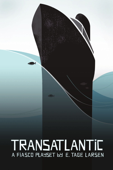TRANSATLANTIC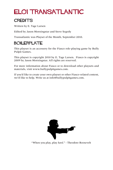# EL01 TRANSATLANTIC

#### **CREDITS**

Written by E. Tage Larsen

Edited by Jason Morningstar and Steve Segedy

Transatlantic was Playset of the Month, September 2010.

#### BOILERPLATE

This playset is an accessory for the Fiasco role-playing game by Bully Pulpit Games.

This playset is copyright 2010 by E. Tage Larsen. Fiasco is copyright 2009 by Jason Morningstar. All rights are reserved.

For more information about Fiasco or to download other playsets and materials, visit www.bullypulpitgames.com.

If you'd like to create your own playset or other Fiasco-related content, we'd like to help. Write us at info@bullypulpitgames.com.



"When you play, play *hard*." - Theodore Roosevelt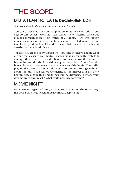## THE SCORE

#### MID-ATLANTIC, LATE DECEMBER 1932

*To be read aloud by the most aristocratic person at the table…*

You are a week out of Southampton en route to New York. Your 42,000-ton vessel, Morning Star Lines' new flagship *Leviathan*, ploughs through these frigid waters at 29 knots. On this luxury cruiser's maiden voyage, the Captain has been directed to quietly contend for the glorious Blue Riband — the accolade awarded to the fastest crossing of the Atlantic Ocean.

Topside, you enjoy a salty Gibson while pulling the heavy double wool of your coat closer to your body. Friends make merry with lively talk amongst themselves — it's a din barely overheard above the hammering engine and thresh of the ship's mighty propellers. Spray from the bow's cleave manages to catch your cheek even this far aft. You smile, playing the cocktail's onion lightly on your tongue. Your gaze draws across the dull, slate waters wondering at the marvel of it all: New beginnings? Maybe this time things will be different? Perhaps your dreams are within reach? What could possibly go wrong?

#### MOVIE NIGHT

Bitter Moon, Legend of 1900, Titanic, Duck Soup (or The Impostors), the Love Boat (TV), Poseidon Adventure, Deep Rising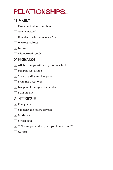# relationships...

#### 1 FAMILY

- $\lceil \cdot \rceil$  Parent and adopted orphan
- $\Gamma$  Newly married
- $\Gamma$  Eccentric uncle and nephew/niece
- $\boxed{\therefore}$  Warring siblings
- $\mathbb{E}$  In-laws
- **1** Old married couple

### 2 FRIENDS

- $\lceil \cdot \rceil$  Affable tramps with an eye for mischief
- $[$ . Pen pals just united
- $\boxed{\cdot}$  Society gadfly and hanger-on
- **1**: From the Great War
- $\mathbb{E}$  Inseparable, simply inseparable
- **1** Built on a lie

#### 3 INTRIGUE

- $\lceil \cdot \rceil$  Foreigners
- $\Gamma$  Saboteur and fellow traveler
- $\overline{.}$  Mutinous
- $\mathbb{R}$  Sworn oath
- $\boxed{\ddot{\ddot{\ddot{\cdot}}}$  "Who are you and why are you in my closet?"
- $\overline{ii}$  Cultists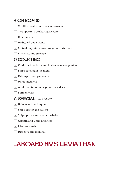#### 4 ON BOARD

- $\lceil \cdot \rceil$  Wealthy invalid and voracious ingénue
- $\Gamma$  "We appear to be sharing a cabin"
- $\Gamma$  Entertainers
- $\mathbb{R}$  Dedicated bon vivants
- $\mathbb{E}$  Mutual impostors, stowaways, and criminals
- **First class and steerage**

#### 5 COURTING

- $\cdot$  Confirmed bachelor and his bachelor companion
- $\cdot$  Ships passing in the night
- $\Gamma$  Estranged honeymooners
- $\boxed{\therefore}$  Unrequited love
- $\mathbb{E}$  A rake, an innocent, a promenade deck
- **1** Former lovers

#### 6 SPECIAL *(Use with care)*

- $\lceil \cdot \rceil$  Heiress and cat burglar
- $\Gamma$  Ship's doctor and patient
- $\overline{3}$  Ship's purser and rescued whaler
- **1.** Captain and Chief Engineer
- $\mathbb{E}$  Rival stewards
- **1** Detective and criminal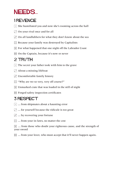### NEEDS...

### 1 REVENGE

- $\lceil \cdot \rceil$  She humiliated you and now she's rooming across the hall
- $\Gamma$  On your rival once and for all
- $\mathbf{3}$  On all landlubbers for what they don't know about the sea
- $\left| \right\rangle$  Because your family was destroyed by Capitalists
- $\mathbb{E}$  For what happened that one night off the Labrador Coast
- **11** On the Captain, because it's now or never

### 2 TRUTH

- $\lceil \cdot \rceil$  The secret your father took with him to the grave
- $\cdot$  About a missing lifeboat
- $\Gamma$  Uncomfortable family history
- $\boxed{\therefore}$  "Why are we so very, very off course?"
- $\mathbb{E}$  Unmarked crate that was loaded in the still of night
- **Forged safety inspection certificates**

#### 3 RESPECT

- $\lceil \cdot \rceil$  ... from shipmates about a haunting error
- $\Gamma$  ... for yourself because the ridicule is too great
- $\ddot{\cdot}$  ... by recovering your fortune
- $\boxed{\therefore}$  ... from your in-laws, no matter the cost

 $\mathbb{E}$  ... from those who doubt your righteous cause, and the strength of your sword

**11.** Solution we allower, who must accept that it'll never happen again.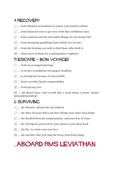#### 4 RECOVERY

- $\lceil \cdot \rceil$  ... from libelous accusations to restore your family's honor
- $\cdot$   $\cdot$  ... from financial ruin to get even with that confidence man
- $\overline{3}$  ... from amnesia and the inevitable deluge of your former life
- $\boxed{\therefore}$  ... from mounting gambling losses before it's too late
- $\mathbb{E}$  ... from the beating you took to find those who dealt it
- $\boxed{ii}$  ... from years of abuse by a manipulative employer

#### 5 ESCAPE - BON VOYAGE!

- $\cdot$  ... from an arranged marriage
- $\cdot$   $\cdot$   $\cdot$   $\cdot$  to avoid a scandalous newspaper headline
- $\cdot$  ... to immigrate because of your beliefs
- $\boxed{\therefore}$  ... from a terrible family responsibility
- $\Xi$  ... from prying eyes

**11** ... the Royal Navy, who would like a word about a recent "minor" misunderstanding"

#### 6 SURVIVing

- $\lceil \cdot \rceil$  ... the disaster, aboard the last lifeboat
- $\cdot$   $\cdot$   $\cdot$  ... the duel, because that's not how things were done back home
- $\ddot{\cdot}$  ... the flooded forward compartments, and your fear of water
- $\dddot{\mathbf{a}}$  ... the whirlpool, powered by your desire to pay them back
- $\boxed{5}$  ... the fire, to claim your true love
- **11** ... the sacrifice that will stop the Deep God from rising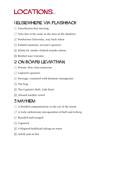## LOCATIONS...

#### 1 ELSEWHERE via FLASHBACK

- $\lceil \cdot \rceil$  Sweethearts first meeting
- $\Gamma$  Your face is the same as the man in the shadows
- $\ddot{\cdot}$  Pemberton University, way back when
- **1** Palatial mansion, servant's quarters
- 5 Dimly lit, smoke-choked seaside saloon
- **13 Brothel near Calcutta**

#### 2 ON BOARD LEVIATHAN

- $\lceil \cdot \rceil$  Private, first-class stateroom
- $\cdot$  Captain's quarters
- $\cdot$  Steerage, crammed with destitute immigrants
- $\boxed{\therefore}$  The brig
- **F.** The Captain's Ball, Lido Deck
- **1** Aboard another vessel

#### 3 MAYHEM

- $\lceil \cdot \rceil$  A flooded companionway in the eye of the storm
- $\cdot$  A truly unfortunate juxtaposition of hull and iceberg
- $\overline{3}$  Boarded and ravaged
- $\boxed{\therefore}$  Capsized
- $\mathbb{E}$  Collapsed bulkhead taking on water
- $\mathbf{H}$  Adrift and on fire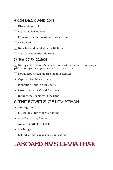#### 4 ON DECK AND OFF

- $\lceil \cdot \rceil$  Observation Deck
- $\Gamma$  Fog-shrouded aft deck
- $\overline{S}$  Clutching the starboard rail, sick as a dog
- $\boxed{\therefore}$  Overboard
- $\mathbb{E}$  Drenched and tangled in the lifelines
- **1** Tournament on the Lido Deck

#### 5 "BE OUR GUEST"

 $\lceil \cdot \rceil$  Dining at the Captain's table on lamb with mint sauce, roast squab, pâté de foie gras, and peaches in Chartreuse jelly

- . Bawdy repurposed luggage room in steerage
- $\Gamma$  Captured by pirates ... or worse
- $\mathbb{R}$  Umbrella drinks in deck chairs
- $\mathbb{E}$  Passed out in the Grand Ballroom
- $\mathbf{F}$  In the orchestra pit, with the band

#### 6 THE BOWELS OF LEVIATHAN

- $\lceil \cdot \rceil$  Aft cargo hold
- $\Gamma$  B Deck, in a dimly lit chain locker
- $\cdot$  A walk-in galley freezer
- $\mathbb{R}$  An open porthole or hatch
- $\mathbb{E}$  The bridge
- $\mathbf{F}$  Behind a triple-expansion steam engine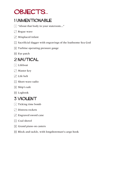### OBJECTS...

#### 1 UNMENTIONABLE

- $\lceil \cdot \rceil$  "About that body in your stateroom..."
- $\Gamma$  Rogue wave
- $\ddot{ }$  Misplaced infant
- **::** Sacrificial dagger with engravings of the loathsome Sea God
- $\mathbb{E}$  Turbine operating pressure gauge
- $\overline{E}$  Eye patch

#### 2 NAUTICAL

- $\lceil \cdot \rceil$  Lifeboat
- $\Gamma$  Master key
- $\overline{S}$  Life belt
- $\boxed{\therefore}$  Short-wave radio
- $\boxed{5}$  Ship's safe
- **ii** Logbook

#### 3 VIOLENT

- $\lceil \cdot \rceil$  Ticking time bomb
- $\Gamma$  Distress rockets
- $\cdot$  Engraved sword cane
- $\boxed{\therefore}$  Coal shovel
- $\mathbb{E}$  Grand piano on casters
- **FI** Block and tackle, with longshoreman's cargo hook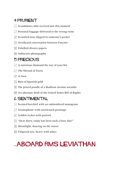#### 4 PRURIENT

- $\lceil \cdot \rceil$  Scandalous cable received just this moment
- $\Gamma$  Personal baggage delivered to the wrong room
- $\ddot{\cdot}$  Scrawled note slipped in someone's pocket
- **1** Overheard conversation between Fascists
- $\mathbb{E}$  Falsified divorce papers
- **1** Indiscrete photographs

#### 5 PRECIOUS

- $\cdot$  A notorious diamond the size of your fist
- $\Gamma$  The Shroud of Turin
- $\mathbf{a}$  A tiara
- $\mathbb{R}$  Bars of Spanish gold
- $\mathbb{E}$  The prized poodle of a Madison Avenue socialite
- **11** An alternate draft of the United States Bill of Rights

#### 6 SENTIMENTAL

- $\lceil \cdot \rceil$  Scented kerchief with an embroidered monogram
- $\Gamma$  Gramophone with unreleased pressings
- $\Gamma$  Golden locket with portrait
- $\boxed{\therefore}$  "Dear diary, today has been such a busy day!"
- $\mathbb{E}$  Moonlight, dancing on the waves
- **Filigreed urn, heavy with ashes**